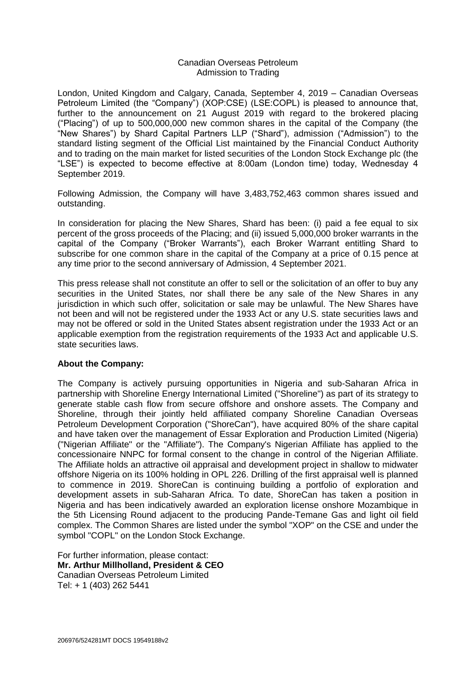#### Canadian Overseas Petroleum Admission to Trading

London, United Kingdom and Calgary, Canada, September 4, 2019 – Canadian Overseas Petroleum Limited (the "Company") (XOP:CSE) (LSE:COPL) is pleased to announce that, further to the announcement on 21 August 2019 with regard to the brokered placing ("Placing") of up to 500,000,000 new common shares in the capital of the Company (the "New Shares") by Shard Capital Partners LLP ("Shard"), admission ("Admission") to the standard listing segment of the Official List maintained by the Financial Conduct Authority and to trading on the main market for listed securities of the London Stock Exchange plc (the "LSE") is expected to become effective at 8:00am (London time) today, Wednesday 4 September 2019.

Following Admission, the Company will have 3,483,752,463 common shares issued and outstanding.

In consideration for placing the New Shares, Shard has been: (i) paid a fee equal to six percent of the gross proceeds of the Placing; and (ii) issued 5,000,000 broker warrants in the capital of the Company ("Broker Warrants"), each Broker Warrant entitling Shard to subscribe for one common share in the capital of the Company at a price of 0.15 pence at any time prior to the second anniversary of Admission, 4 September 2021.

This press release shall not constitute an offer to sell or the solicitation of an offer to buy any securities in the United States, nor shall there be any sale of the New Shares in any jurisdiction in which such offer, solicitation or sale may be unlawful. The New Shares have not been and will not be registered under the 1933 Act or any U.S. state securities laws and may not be offered or sold in the United States absent registration under the 1933 Act or an applicable exemption from the registration requirements of the 1933 Act and applicable U.S. state securities laws.

# **About the Company:**

The Company is actively pursuing opportunities in Nigeria and sub-Saharan Africa in partnership with Shoreline Energy International Limited ("Shoreline") as part of its strategy to generate stable cash flow from secure offshore and onshore assets. The Company and Shoreline, through their jointly held affiliated company Shoreline Canadian Overseas Petroleum Development Corporation ("ShoreCan"), have acquired 80% of the share capital and have taken over the management of Essar Exploration and Production Limited (Nigeria) ("Nigerian Affiliate" or the "Affiliate"). The Company's Nigerian Affiliate has applied to the concessionaire NNPC for formal consent to the change in control of the Nigerian Affiliate. The Affiliate holds an attractive oil appraisal and development project in shallow to midwater offshore Nigeria on its 100% holding in OPL 226. Drilling of the first appraisal well is planned to commence in 2019. ShoreCan is continuing building a portfolio of exploration and development assets in sub-Saharan Africa. To date, ShoreCan has taken a position in Nigeria and has been indicatively awarded an exploration license onshore Mozambique in the 5th Licensing Round adjacent to the producing Pande-Temane Gas and light oil field complex. The Common Shares are listed under the symbol "XOP" on the CSE and under the symbol "COPL" on the London Stock Exchange.

For further information, please contact: **Mr. Arthur Millholland, President & CEO** Canadian Overseas Petroleum Limited Tel: + 1 (403) 262 5441